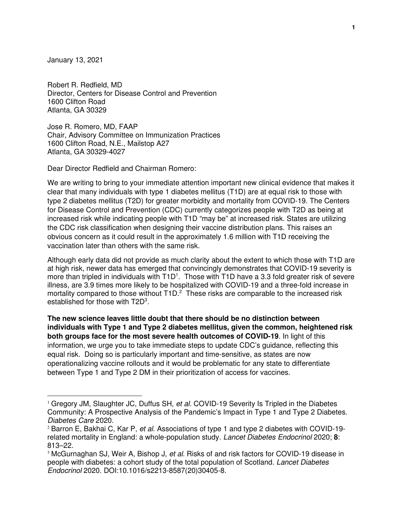January 13, 2021

Robert R. Redfield, MD Director, Centers for Disease Control and Prevention 1600 Clifton Road Atlanta, GA 30329

Jose R. Romero, MD, FAAP Chair, Advisory Committee on Immunization Practices 1600 Clifton Road, N.E., Mailstop A27 Atlanta, GA 30329-4027

Dear Director Redfield and Chairman Romero:

We are writing to bring to your immediate attention important new clinical evidence that makes it clear that many individuals with type 1 diabetes mellitus (T1D) are at equal risk to those with type 2 diabetes mellitus (T2D) for greater morbidity and mortality from COVID-19. The Centers for Disease Control and Prevention (CDC) currently categorizes people with T2D as being at increased risk while indicating people with T1D "may be" at increased risk. States are utilizing the CDC risk classification when designing their vaccine distribution plans. This raises an obvious concern as it could result in the approximately 1.6 million with T1D receiving the vaccination later than others with the same risk.

Although early data did not provide as much clarity about the extent to which those with T1D are at high risk, newer data has emerged that convincingly demonstrates that COVID-19 severity is more than tripled in individuals with  $T1D<sup>1</sup>$ . Those with T1D have a 3.3 fold greater risk of severe illness, are 3.9 times more likely to be hospitalized with COVID-19 and a three-fold increase in mortality compared to those without  $T1D<sup>2</sup>$  These risks are comparable to the increased risk established for those with T2D<sup>3</sup>.

**The new science leaves little doubt that there should be no distinction between individuals with Type 1 and Type 2 diabetes mellitus, given the common, heightened risk both groups face for the most severe health outcomes of COVID-19**. In light of this information, we urge you to take immediate steps to update CDC's guidance, reflecting this equal risk. Doing so is particularly important and time-sensitive, as states are now operationalizing vaccine rollouts and it would be problematic for any state to differentiate between Type 1 and Type 2 DM in their prioritization of access for vaccines.

<sup>&</sup>lt;sup>1</sup> Gregory JM, Slaughter JC, Duffus SH, et al. COVID-19 Severity Is Tripled in the Diabetes Community: A Prospective Analysis of the Pandemic's Impact in Type 1 and Type 2 Diabetes. Diabetes Care 2020.

<sup>&</sup>lt;sup>2</sup> Barron E, Bakhai C, Kar P, et al. Associations of type 1 and type 2 diabetes with COVID-19related mortality in England: a whole-population study. Lancet Diabetes Endocrinol 2020; **8**: 813–22.

<sup>&</sup>lt;sup>3</sup> McGurnaghan SJ, Weir A, Bishop J, et al. Risks of and risk factors for COVID-19 disease in people with diabetes: a cohort study of the total population of Scotland. Lancet Diabetes Endocrinol 2020. DOI:10.1016/s2213-8587(20)30405-8.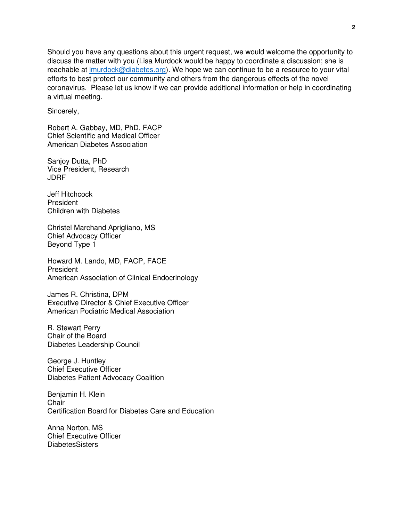Should you have any questions about this urgent request, we would welcome the opportunity to discuss the matter with you (Lisa Murdock would be happy to coordinate a discussion; she is reachable at Imurdock@diabetes.org). We hope we can continue to be a resource to your vital efforts to best protect our community and others from the dangerous effects of the novel coronavirus. Please let us know if we can provide additional information or help in coordinating a virtual meeting.

Sincerely,

Robert A. Gabbay, MD, PhD, FACP Chief Scientific and Medical Officer American Diabetes Association

Sanjoy Dutta, PhD Vice President, Research JDRF

Jeff Hitchcock President Children with Diabetes

Christel Marchand Aprigliano, MS Chief Advocacy Officer Beyond Type 1

Howard M. Lando, MD, FACP, FACE President American Association of Clinical Endocrinology

James R. Christina, DPM Executive Director & Chief Executive Officer American Podiatric Medical Association

R. Stewart Perry Chair of the Board Diabetes Leadership Council

George J. Huntley Chief Executive Officer Diabetes Patient Advocacy Coalition

Benjamin H. Klein **Chair** Certification Board for Diabetes Care and Education

Anna Norton, MS Chief Executive Officer **DiabetesSisters**